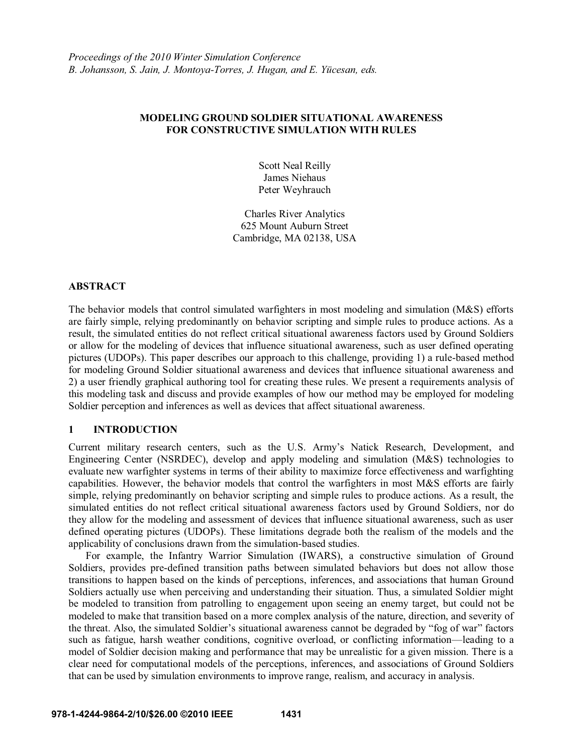# **MODELING GROUND SOLDIER SITUATIONAL AWARENESS FOR CONSTRUCTIVE SIMULATION WITH RULES**

Scott Neal Reilly James Niehaus Peter Weyhrauch

Charles River Analytics 625 Mount Auburn Street Cambridge, MA 02138, USA

### **ABSTRACT**

The behavior models that control simulated warfighters in most modeling and simulation (M&S) efforts are fairly simple, relying predominantly on behavior scripting and simple rules to produce actions. As a result, the simulated entities do not reflect critical situational awareness factors used by Ground Soldiers or allow for the modeling of devices that influence situational awareness, such as user defined operating pictures (UDOPs). This paper describes our approach to this challenge, providing 1) a rule-based method for modeling Ground Soldier situational awareness and devices that influence situational awareness and 2) a user friendly graphical authoring tool for creating these rules. We present a requirements analysis of this modeling task and discuss and provide examples of how our method may be employed for modeling Soldier perception and inferences as well as devices that affect situational awareness.

### **1 INTRODUCTION**

Current military research centers, such as the U.S. Army's Natick Research, Development, and Engineering Center (NSRDEC), develop and apply modeling and simulation (M&S) technologies to evaluate new warfighter systems in terms of their ability to maximize force effectiveness and warfighting capabilities. However, the behavior models that control the warfighters in most M&S efforts are fairly simple, relying predominantly on behavior scripting and simple rules to produce actions. As a result, the simulated entities do not reflect critical situational awareness factors used by Ground Soldiers, nor do they allow for the modeling and assessment of devices that influence situational awareness, such as user defined operating pictures (UDOPs). These limitations degrade both the realism of the models and the applicability of conclusions drawn from the simulation-based studies.

 For example, the Infantry Warrior Simulation (IWARS), a constructive simulation of Ground Soldiers, provides pre-defined transition paths between simulated behaviors but does not allow those transitions to happen based on the kinds of perceptions, inferences, and associations that human Ground Soldiers actually use when perceiving and understanding their situation. Thus, a simulated Soldier might be modeled to transition from patrolling to engagement upon seeing an enemy target, but could not be modeled to make that transition based on a more complex analysis of the nature, direction, and severity of the threat. Also, the simulated Soldier's situational awareness cannot be degraded by "fog of war" factors such as fatigue, harsh weather conditions, cognitive overload, or conflicting information—leading to a model of Soldier decision making and performance that may be unrealistic for a given mission. There is a clear need for computational models of the perceptions, inferences, and associations of Ground Soldiers that can be used by simulation environments to improve range, realism, and accuracy in analysis.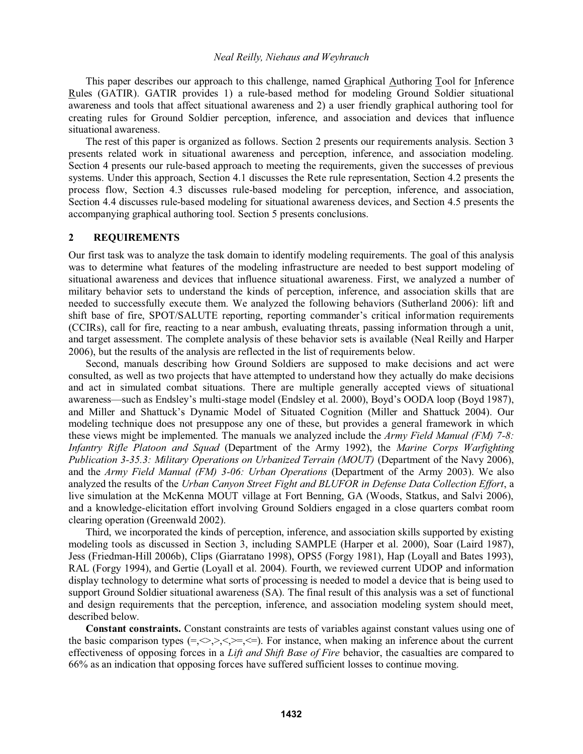This paper describes our approach to this challenge, named Graphical Authoring Tool for Inference Rules (GATIR). GATIR provides 1) a rule-based method for modeling Ground Soldier situational awareness and tools that affect situational awareness and 2) a user friendly graphical authoring tool for creating rules for Ground Soldier perception, inference, and association and devices that influence situational awareness.

The rest of this paper is organized as follows. Section 2 presents our requirements analysis. Section 3 presents related work in situational awareness and perception, inference, and association modeling. Section 4 presents our rule-based approach to meeting the requirements, given the successes of previous systems. Under this approach, Section 4.1 discusses the Rete rule representation, Section 4.2 presents the process flow, Section 4.3 discusses rule-based modeling for perception, inference, and association, Section 4.4 discusses rule-based modeling for situational awareness devices, and Section 4.5 presents the accompanying graphical authoring tool. Section 5 presents conclusions.

## **2 REQUIREMENTS**

Our first task was to analyze the task domain to identify modeling requirements. The goal of this analysis was to determine what features of the modeling infrastructure are needed to best support modeling of situational awareness and devices that influence situational awareness. First, we analyzed a number of military behavior sets to understand the kinds of perception, inference, and association skills that are needed to successfully execute them. We analyzed the following behaviors (Sutherland 2006): lift and shift base of fire, SPOT/SALUTE reporting, reporting commander's critical information requirements (CCIRs), call for fire, reacting to a near ambush, evaluating threats, passing information through a unit, and target assessment. The complete analysis of these behavior sets is available (Neal Reilly and Harper 2006), but the results of the analysis are reflected in the list of requirements below.

 Second, manuals describing how Ground Soldiers are supposed to make decisions and act were consulted, as well as two projects that have attempted to understand how they actually do make decisions and act in simulated combat situations. There are multiple generally accepted views of situational awareness—such as Endsley's multi-stage model (Endsley et al. 2000), Boyd's OODA loop (Boyd 1987), and Miller and Shattuck's Dynamic Model of Situated Cognition (Miller and Shattuck 2004). Our modeling technique does not presuppose any one of these, but provides a general framework in which these views might be implemented. The manuals we analyzed include the *Army Field Manual (FM) 7-8: Infantry Rifle Platoon and Squad* (Department of the Army 1992), the *Marine Corps Warfighting Publication 3-35.3: Military Operations on Urbanized Terrain (MOUT)* (Department of the Navy 2006), and the *Army Field Manual (FM) 3-06: Urban Operations* (Department of the Army 2003). We also analyzed the results of the *Urban Canyon Street Fight and BLUFOR in Defense Data Collection Effort*, a live simulation at the McKenna MOUT village at Fort Benning, GA (Woods, Statkus, and Salvi 2006), and a knowledge-elicitation effort involving Ground Soldiers engaged in a close quarters combat room clearing operation (Greenwald 2002).

 Third, we incorporated the kinds of perception, inference, and association skills supported by existing modeling tools as discussed in Section 3, including SAMPLE (Harper et al. 2000), Soar (Laird 1987), Jess (Friedman-Hill 2006b), Clips (Giarratano 1998), OPS5 (Forgy 1981), Hap (Loyall and Bates 1993), RAL (Forgy 1994), and Gertie (Loyall et al. 2004). Fourth, we reviewed current UDOP and information display technology to determine what sorts of processing is needed to model a device that is being used to support Ground Soldier situational awareness (SA). The final result of this analysis was a set of functional and design requirements that the perception, inference, and association modeling system should meet, described below.

 **Constant constraints.** Constant constraints are tests of variables against constant values using one of the basic comparison types  $(=\leq,\leq,\leq,\leq)$ . For instance, when making an inference about the current effectiveness of opposing forces in a *Lift and Shift Base of Fire* behavior, the casualties are compared to 66% as an indication that opposing forces have suffered sufficient losses to continue moving.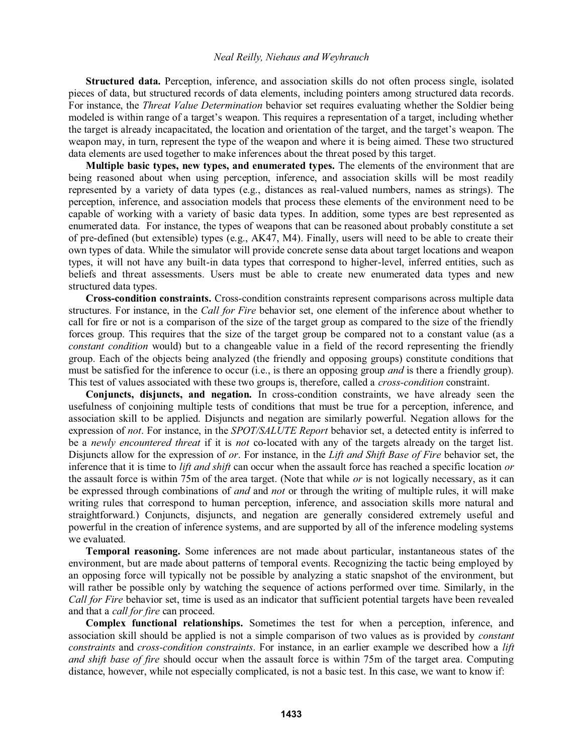**Structured data.** Perception, inference, and association skills do not often process single, isolated pieces of data, but structured records of data elements, including pointers among structured data records. For instance, the *Threat Value Determination* behavior set requires evaluating whether the Soldier being modeled is within range of a target's weapon. This requires a representation of a target, including whether the target is already incapacitated, the location and orientation of the target, and the target's weapon. The weapon may, in turn, represent the type of the weapon and where it is being aimed. These two structured data elements are used together to make inferences about the threat posed by this target.

 **Multiple basic types, new types, and enumerated types.** The elements of the environment that are being reasoned about when using perception, inference, and association skills will be most readily represented by a variety of data types (e.g., distances as real-valued numbers, names as strings). The perception, inference, and association models that process these elements of the environment need to be capable of working with a variety of basic data types. In addition, some types are best represented as enumerated data. For instance, the types of weapons that can be reasoned about probably constitute a set of pre-defined (but extensible) types (e.g., AK47, M4). Finally, users will need to be able to create their own types of data. While the simulator will provide concrete sense data about target locations and weapon types, it will not have any built-in data types that correspond to higher-level, inferred entities, such as beliefs and threat assessments. Users must be able to create new enumerated data types and new structured data types.

 **Cross-condition constraints.** Cross-condition constraints represent comparisons across multiple data structures. For instance, in the *Call for Fire* behavior set, one element of the inference about whether to call for fire or not is a comparison of the size of the target group as compared to the size of the friendly forces group. This requires that the size of the target group be compared not to a constant value (as a *constant condition* would) but to a changeable value in a field of the record representing the friendly group. Each of the objects being analyzed (the friendly and opposing groups) constitute conditions that must be satisfied for the inference to occur (i.e., is there an opposing group *and* is there a friendly group). This test of values associated with these two groups is, therefore, called a *cross-condition* constraint.

 **Conjuncts, disjuncts, and negation.** In cross-condition constraints, we have already seen the usefulness of conjoining multiple tests of conditions that must be true for a perception, inference, and association skill to be applied. Disjuncts and negation are similarly powerful. Negation allows for the expression of *not*. For instance, in the *SPOT/SALUTE Report* behavior set, a detected entity is inferred to be a *newly encountered threat* if it is *not* co-located with any of the targets already on the target list. Disjuncts allow for the expression of *or*. For instance, in the *Lift and Shift Base of Fire* behavior set, the inference that it is time to *lift and shift* can occur when the assault force has reached a specific location *or* the assault force is within 75m of the area target. (Note that while *or* is not logically necessary, as it can be expressed through combinations of *and* and *not* or through the writing of multiple rules, it will make writing rules that correspond to human perception, inference, and association skills more natural and straightforward.) Conjuncts, disjuncts, and negation are generally considered extremely useful and powerful in the creation of inference systems, and are supported by all of the inference modeling systems we evaluated.

 **Temporal reasoning.** Some inferences are not made about particular, instantaneous states of the environment, but are made about patterns of temporal events. Recognizing the tactic being employed by an opposing force will typically not be possible by analyzing a static snapshot of the environment, but will rather be possible only by watching the sequence of actions performed over time. Similarly, in the *Call for Fire* behavior set, time is used as an indicator that sufficient potential targets have been revealed and that a *call for fire* can proceed.

 **Complex functional relationships.** Sometimes the test for when a perception, inference, and association skill should be applied is not a simple comparison of two values as is provided by *constant constraints* and *cross-condition constraints*. For instance, in an earlier example we described how a *lift and shift base of fire* should occur when the assault force is within 75m of the target area. Computing distance, however, while not especially complicated, is not a basic test. In this case, we want to know if: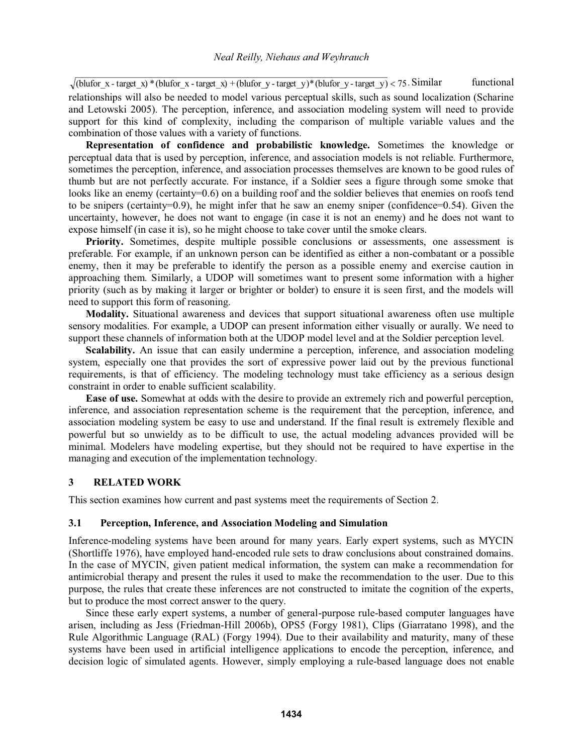$(\text{blufor}_x - \text{target}_x) * (\text{blufor}_x - \text{target}_x) + (\text{blufor}_y - \text{target}_y) * (\text{blufor}_y - \text{target}_y) < 75$ . Similar functional relationships will also be needed to model various perceptual skills, such as sound localization (Scharine and Letowski 2005). The perception, inference, and association modeling system will need to provide support for this kind of complexity, including the comparison of multiple variable values and the combination of those values with a variety of functions.

 **Representation of confidence and probabilistic knowledge.** Sometimes the knowledge or perceptual data that is used by perception, inference, and association models is not reliable. Furthermore, sometimes the perception, inference, and association processes themselves are known to be good rules of thumb but are not perfectly accurate. For instance, if a Soldier sees a figure through some smoke that looks like an enemy (certainty=0.6) on a building roof and the soldier believes that enemies on roofs tend to be snipers (certainty=0.9), he might infer that he saw an enemy sniper (confidence=0.54). Given the uncertainty, however, he does not want to engage (in case it is not an enemy) and he does not want to expose himself (in case it is), so he might choose to take cover until the smoke clears.

**Priority.** Sometimes, despite multiple possible conclusions or assessments, one assessment is preferable. For example, if an unknown person can be identified as either a non-combatant or a possible enemy, then it may be preferable to identify the person as a possible enemy and exercise caution in approaching them. Similarly, a UDOP will sometimes want to present some information with a higher priority (such as by making it larger or brighter or bolder) to ensure it is seen first, and the models will need to support this form of reasoning.

**Modality.** Situational awareness and devices that support situational awareness often use multiple sensory modalities. For example, a UDOP can present information either visually or aurally. We need to support these channels of information both at the UDOP model level and at the Soldier perception level.

**Scalability.** An issue that can easily undermine a perception, inference, and association modeling system, especially one that provides the sort of expressive power laid out by the previous functional requirements, is that of efficiency. The modeling technology must take efficiency as a serious design constraint in order to enable sufficient scalability.

 **Ease of use.** Somewhat at odds with the desire to provide an extremely rich and powerful perception, inference, and association representation scheme is the requirement that the perception, inference, and association modeling system be easy to use and understand. If the final result is extremely flexible and powerful but so unwieldy as to be difficult to use, the actual modeling advances provided will be minimal. Modelers have modeling expertise, but they should not be required to have expertise in the managing and execution of the implementation technology.

## **3 RELATED WORK**

This section examines how current and past systems meet the requirements of Section 2.

## **3.1 Perception, Inference, and Association Modeling and Simulation**

Inference-modeling systems have been around for many years. Early expert systems, such as MYCIN (Shortliffe 1976), have employed hand-encoded rule sets to draw conclusions about constrained domains. In the case of MYCIN, given patient medical information, the system can make a recommendation for antimicrobial therapy and present the rules it used to make the recommendation to the user. Due to this purpose, the rules that create these inferences are not constructed to imitate the cognition of the experts, but to produce the most correct answer to the query.

 Since these early expert systems, a number of general-purpose rule-based computer languages have arisen, including as Jess (Friedman-Hill 2006b), OPS5 (Forgy 1981), Clips (Giarratano 1998), and the Rule Algorithmic Language (RAL) (Forgy 1994). Due to their availability and maturity, many of these systems have been used in artificial intelligence applications to encode the perception, inference, and decision logic of simulated agents. However, simply employing a rule-based language does not enable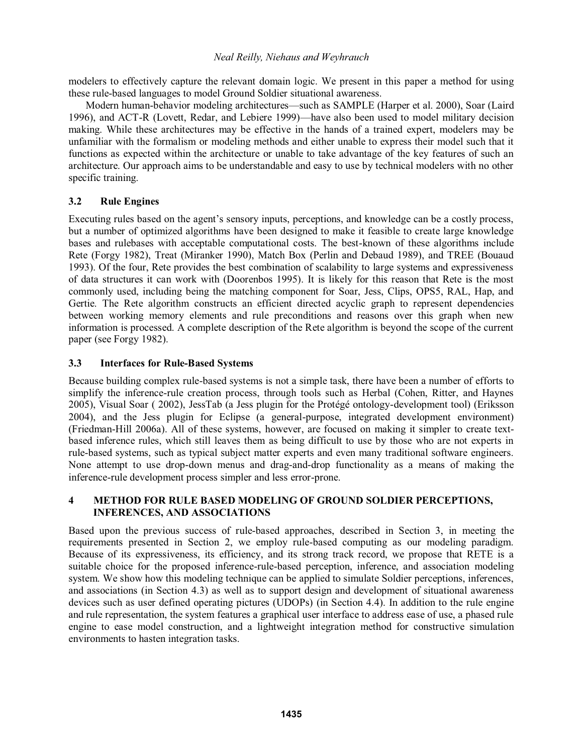modelers to effectively capture the relevant domain logic. We present in this paper a method for using these rule-based languages to model Ground Soldier situational awareness.

Modern human-behavior modeling architectures—such as SAMPLE (Harper et al. 2000), Soar (Laird 1996), and ACT-R (Lovett, Redar, and Lebiere 1999)—have also been used to model military decision making. While these architectures may be effective in the hands of a trained expert, modelers may be unfamiliar with the formalism or modeling methods and either unable to express their model such that it functions as expected within the architecture or unable to take advantage of the key features of such an architecture. Our approach aims to be understandable and easy to use by technical modelers with no other specific training.

# **3.2 Rule Engines**

Executing rules based on the agent's sensory inputs, perceptions, and knowledge can be a costly process, but a number of optimized algorithms have been designed to make it feasible to create large knowledge bases and rulebases with acceptable computational costs. The best-known of these algorithms include Rete (Forgy 1982), Treat (Miranker 1990), Match Box (Perlin and Debaud 1989), and TREE (Bouaud 1993). Of the four, Rete provides the best combination of scalability to large systems and expressiveness of data structures it can work with (Doorenbos 1995). It is likely for this reason that Rete is the most commonly used, including being the matching component for Soar, Jess, Clips, OPS5, RAL, Hap, and Gertie. The Rete algorithm constructs an efficient directed acyclic graph to represent dependencies between working memory elements and rule preconditions and reasons over this graph when new information is processed. A complete description of the Rete algorithm is beyond the scope of the current paper (see Forgy 1982).

## **3.3 Interfaces for Rule-Based Systems**

Because building complex rule-based systems is not a simple task, there have been a number of efforts to simplify the inference-rule creation process, through tools such as Herbal (Cohen, Ritter, and Haynes 2005), Visual Soar ( 2002), JessTab (a Jess plugin for the Protégé ontology-development tool) (Eriksson 2004), and the Jess plugin for Eclipse (a general-purpose, integrated development environment) (Friedman-Hill 2006a). All of these systems, however, are focused on making it simpler to create textbased inference rules, which still leaves them as being difficult to use by those who are not experts in rule-based systems, such as typical subject matter experts and even many traditional software engineers. None attempt to use drop-down menus and drag-and-drop functionality as a means of making the inference-rule development process simpler and less error-prone.

# **4 METHOD FOR RULE BASED MODELING OF GROUND SOLDIER PERCEPTIONS, INFERENCES, AND ASSOCIATIONS**

Based upon the previous success of rule-based approaches, described in Section 3, in meeting the requirements presented in Section 2, we employ rule-based computing as our modeling paradigm. Because of its expressiveness, its efficiency, and its strong track record, we propose that RETE is a suitable choice for the proposed inference-rule-based perception, inference, and association modeling system. We show how this modeling technique can be applied to simulate Soldier perceptions, inferences, and associations (in Section 4.3) as well as to support design and development of situational awareness devices such as user defined operating pictures (UDOPs) (in Section 4.4). In addition to the rule engine and rule representation, the system features a graphical user interface to address ease of use, a phased rule engine to ease model construction, and a lightweight integration method for constructive simulation environments to hasten integration tasks.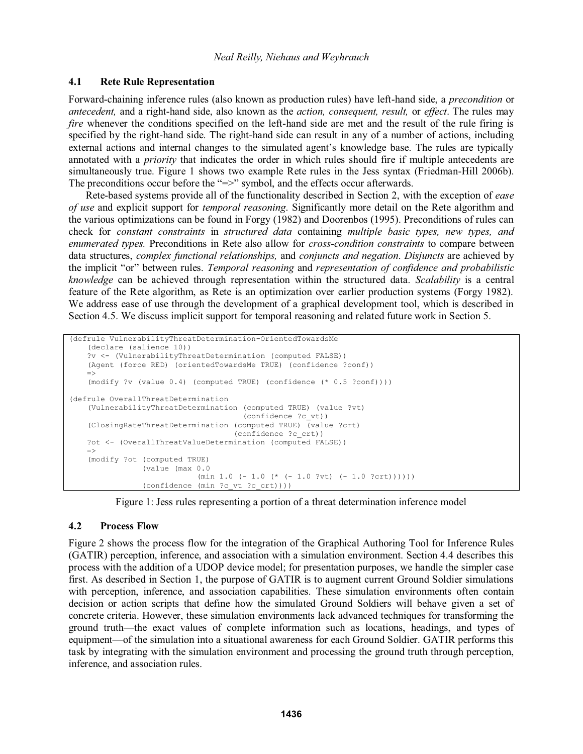# **4.1 Rete Rule Representation**

Forward-chaining inference rules (also known as production rules) have left-hand side, a *precondition* or *antecedent,* and a right-hand side, also known as the *action, consequent, result,* or *effect*. The rules may *fire* whenever the conditions specified on the left-hand side are met and the result of the rule firing is specified by the right-hand side. The right-hand side can result in any of a number of actions, including external actions and internal changes to the simulated agent's knowledge base. The rules are typically annotated with a *priority* that indicates the order in which rules should fire if multiple antecedents are simultaneously true. Figure 1 shows two example Rete rules in the Jess syntax (Friedman-Hill 2006b). The preconditions occur before the  $\cong$  >" symbol, and the effects occur afterwards.

 Rete-based systems provide all of the functionality described in Section 2, with the exception of *ease of use* and explicit support for *temporal reasoning*. Significantly more detail on the Rete algorithm and the various optimizations can be found in Forgy (1982) and Doorenbos (1995). Preconditions of rules can check for *constant constraints* in *structured data* containing *multiple basic types, new types, and enumerated types.* Preconditions in Rete also allow for *cross-condition constraints* to compare between data structures, *complex functional relationships,* and *conjuncts and negation*. *Disjuncts* are achieved by the implicit "or" between rules. Temporal reasoning and *representation of confidence and probabilistic knowledge* can be achieved through representation within the structured data. *Scalability* is a central feature of the Rete algorithm, as Rete is an optimization over earlier production systems (Forgy 1982). We address ease of use through the development of a graphical development tool, which is described in Section 4.5. We discuss implicit support for temporal reasoning and related future work in Section 5.

```
(defrule VulnerabilityThreatDetermination-OrientedTowardsMe 
     (declare (salience 10)) 
     ?v <- (VulnerabilityThreatDetermination (computed FALSE)) 
     (Agent (force RED) (orientedTowardsMe TRUE) (confidence ?conf)) 
    \Rightarrow (modify ?v (value 0.4) (computed TRUE) (confidence (* 0.5 ?conf)))) 
(defrule OverallThreatDetermination 
     (VulnerabilityThreatDetermination (computed TRUE) (value ?vt) 
                                         (confidence ?c_vt)) 
     (ClosingRateThreatDetermination (computed TRUE) (value ?crt) 
                                       (confidence ?c_crt)) 
     ?ot <- (OverallThreatValueDetermination (computed FALSE))
    \Rightarrow (modify ?ot (computed TRUE) 
                 (value (max 0.0 
                              (\min 1.0 (-1.0 (+ 1.0 ?vt) (-1.0 ?crt)))) (confidence (min ?c_vt ?c_crt))))
```
Figure 1: Jess rules representing a portion of a threat determination inference model

# **4.2 Process Flow**

Figure 2 shows the process flow for the integration of the Graphical Authoring Tool for Inference Rules (GATIR) perception, inference, and association with a simulation environment. Section 4.4 describes this process with the addition of a UDOP device model; for presentation purposes, we handle the simpler case first. As described in Section 1, the purpose of GATIR is to augment current Ground Soldier simulations with perception, inference, and association capabilities. These simulation environments often contain decision or action scripts that define how the simulated Ground Soldiers will behave given a set of concrete criteria. However, these simulation environments lack advanced techniques for transforming the ground truth—the exact values of complete information such as locations, headings, and types of equipment—of the simulation into a situational awareness for each Ground Soldier. GATIR performs this task by integrating with the simulation environment and processing the ground truth through perception, inference, and association rules.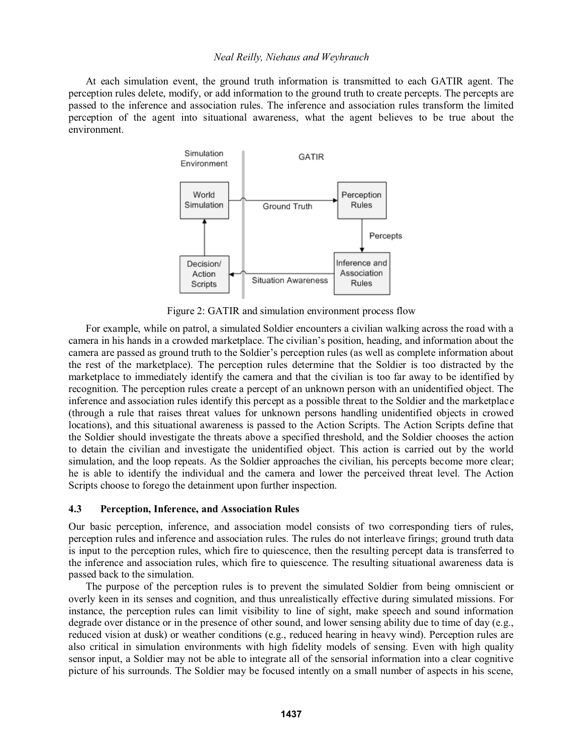At each simulation event, the ground truth information is transmitted to each GATIR agent. The perception rules delete, modify, or add information to the ground truth to create percepts. The percepts are passed to the inference and association rules. The inference and association rules transform the limited perception of the agent into situational awareness, what the agent believes to be true about the environment.



Figure 2: GATIR and simulation environment process flow

For example, while on patrol, a simulated Soldier encounters a civilian walking across the road with a camera in his hands in a crowded marketplace. The civilian's position, heading, and information about the camera are passed as ground truth to the Soldier's perception rules (as well as complete information about the rest of the marketplace). The perception rules determine that the Soldier is too distracted by the marketplace to immediately identify the camera and that the civilian is too far away to be identified by recognition. The perception rules create a percept of an unknown person with an unidentified object. The inference and association rules identify this percept as a possible threat to the Soldier and the marketplace (through a rule that raises threat values for unknown persons handling unidentified objects in crowed locations), and this situational awareness is passed to the Action Scripts. The Action Scripts define that the Soldier should investigate the threats above a specified threshold, and the Soldier chooses the action to detain the civilian and investigate the unidentified object. This action is carried out by the world simulation, and the loop repeats. As the Soldier approaches the civilian, his percepts become more clear; he is able to identify the individual and the camera and lower the perceived threat level. The Action Scripts choose to forego the detainment upon further inspection.

### **4.3 Perception, Inference, and Association Rules**

Our basic perception, inference, and association model consists of two corresponding tiers of rules, perception rules and inference and association rules. The rules do not interleave firings; ground truth data is input to the perception rules, which fire to quiescence, then the resulting percept data is transferred to the inference and association rules, which fire to quiescence. The resulting situational awareness data is passed back to the simulation.

The purpose of the perception rules is to prevent the simulated Soldier from being omniscient or overly keen in its senses and cognition, and thus unrealistically effective during simulated missions. For instance, the perception rules can limit visibility to line of sight, make speech and sound information degrade over distance or in the presence of other sound, and lower sensing ability due to time of day (e.g., reduced vision at dusk) or weather conditions (e.g., reduced hearing in heavy wind). Perception rules are also critical in simulation environments with high fidelity models of sensing. Even with high quality sensor input, a Soldier may not be able to integrate all of the sensorial information into a clear cognitive picture of his surrounds. The Soldier may be focused intently on a small number of aspects in his scene,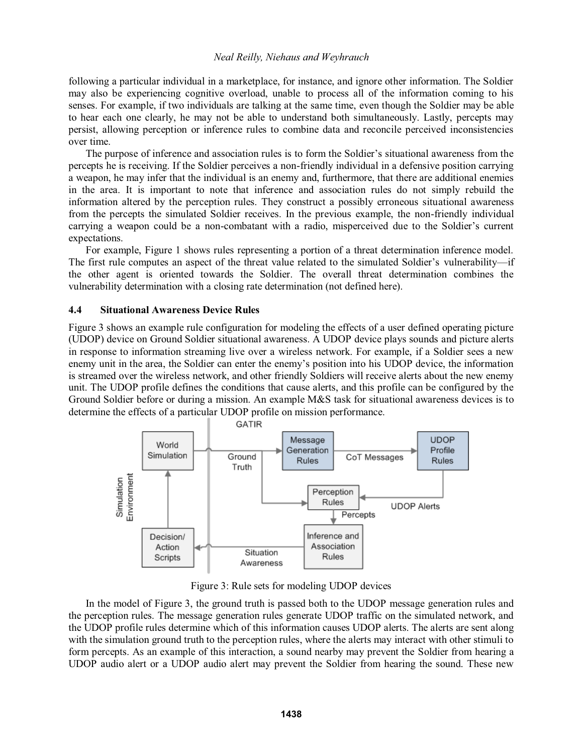following a particular individual in a marketplace, for instance, and ignore other information. The Soldier may also be experiencing cognitive overload, unable to process all of the information coming to his senses. For example, if two individuals are talking at the same time, even though the Soldier may be able to hear each one clearly, he may not be able to understand both simultaneously. Lastly, percepts may persist, allowing perception or inference rules to combine data and reconcile perceived inconsistencies over time.

The purpose of inference and association rules is to form the Soldier's situational awareness from the percepts he is receiving. If the Soldier perceives a non-friendly individual in a defensive position carrying a weapon, he may infer that the individual is an enemy and, furthermore, that there are additional enemies in the area. It is important to note that inference and association rules do not simply rebuild the information altered by the perception rules. They construct a possibly erroneous situational awareness from the percepts the simulated Soldier receives. In the previous example, the non-friendly individual carrying a weapon could be a non-combatant with a radio, misperceived due to the Soldier's current expectations.

For example, Figure 1 shows rules representing a portion of a threat determination inference model. The first rule computes an aspect of the threat value related to the simulated Soldier's vulnerability—if the other agent is oriented towards the Soldier. The overall threat determination combines the vulnerability determination with a closing rate determination (not defined here).

### **4.4 Situational Awareness Device Rules**

Figure 3 shows an example rule configuration for modeling the effects of a user defined operating picture (UDOP) device on Ground Soldier situational awareness. A UDOP device plays sounds and picture alerts in response to information streaming live over a wireless network. For example, if a Soldier sees a new enemy unit in the area, the Soldier can enter the enemy's position into his UDOP device, the information is streamed over the wireless network, and other friendly Soldiers will receive alerts about the new enemy unit. The UDOP profile defines the conditions that cause alerts, and this profile can be configured by the Ground Soldier before or during a mission. An example M&S task for situational awareness devices is to determine the effects of a particular UDOP profile on mission performance.



Figure 3: Rule sets for modeling UDOP devices

In the model of Figure 3, the ground truth is passed both to the UDOP message generation rules and the perception rules. The message generation rules generate UDOP traffic on the simulated network, and the UDOP profile rules determine which of this information causes UDOP alerts. The alerts are sent along with the simulation ground truth to the perception rules, where the alerts may interact with other stimuli to form percepts. As an example of this interaction, a sound nearby may prevent the Soldier from hearing a UDOP audio alert or a UDOP audio alert may prevent the Soldier from hearing the sound. These new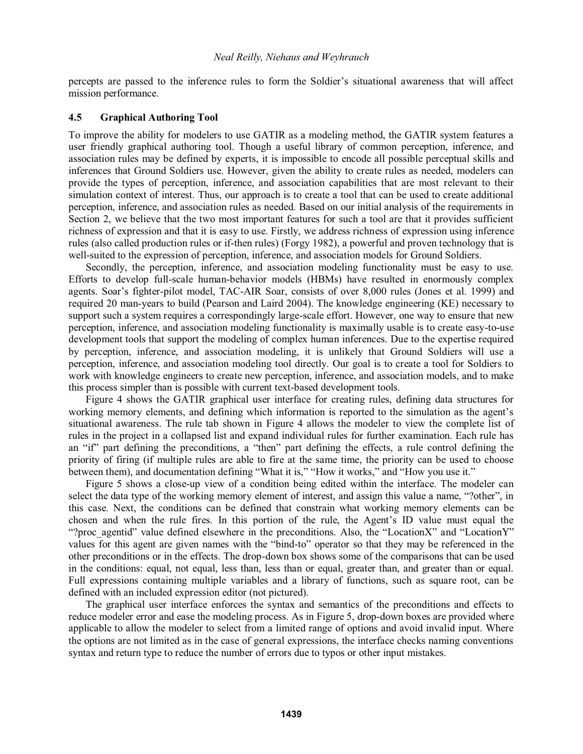percepts are passed to the inference rules to form the Soldier's situational awareness that will affect mission performance.

### **4.5 Graphical Authoring Tool**

To improve the ability for modelers to use GATIR as a modeling method, the GATIR system features a user friendly graphical authoring tool. Though a useful library of common perception, inference, and association rules may be defined by experts, it is impossible to encode all possible perceptual skills and inferences that Ground Soldiers use. However, given the ability to create rules as needed, modelers can provide the types of perception, inference, and association capabilities that are most relevant to their simulation context of interest. Thus, our approach is to create a tool that can be used to create additional perception, inference, and association rules as needed. Based on our initial analysis of the requirements in Section 2, we believe that the two most important features for such a tool are that it provides sufficient richness of expression and that it is easy to use. Firstly, we address richness of expression using inference rules (also called production rules or if-then rules) (Forgy 1982), a powerful and proven technology that is well-suited to the expression of perception, inference, and association models for Ground Soldiers.

 Secondly, the perception, inference, and association modeling functionality must be easy to use. Efforts to develop full-scale human-behavior models (HBMs) have resulted in enormously complex agents. Soar's fighter-pilot model, TAC-AIR Soar, consists of over 8,000 rules (Jones et al. 1999) and required 20 man-years to build (Pearson and Laird 2004). The knowledge engineering (KE) necessary to support such a system requires a correspondingly large-scale effort. However, one way to ensure that new perception, inference, and association modeling functionality is maximally usable is to create easy-to-use development tools that support the modeling of complex human inferences. Due to the expertise required by perception, inference, and association modeling, it is unlikely that Ground Soldiers will use a perception, inference, and association modeling tool directly. Our goal is to create a tool for Soldiers to work with knowledge engineers to create new perception, inference, and association models, and to make this process simpler than is possible with current text-based development tools.

 Figure 4 shows the GATIR graphical user interface for creating rules, defining data structures for working memory elements, and defining which information is reported to the simulation as the agent's situational awareness. The rule tab shown in Figure 4 allows the modeler to view the complete list of rules in the project in a collapsed list and expand individual rules for further examination. Each rule has an "if" part defining the preconditions, a "then" part defining the effects, a rule control defining the priority of firing (if multiple rules are able to fire at the same time, the priority can be used to choose between them), and documentation defining "What it is," "How it works," and "How you use it."

Figure 5 shows a close-up view of a condition being edited within the interface. The modeler can select the data type of the working memory element of interest, and assign this value a name, "?other", in this case. Next, the conditions can be defined that constrain what working memory elements can be chosen and when the rule fires. In this portion of the rule, the Agent's ID value must equal the "?proc\_agentid" value defined elsewhere in the preconditions. Also, the "LocationX" and "LocationY" values for this agent are given names with the "bind-to" operator so that they may be referenced in the other preconditions or in the effects. The drop-down box shows some of the comparisons that can be used in the conditions: equal, not equal, less than, less than or equal, greater than, and greater than or equal. Full expressions containing multiple variables and a library of functions, such as square root, can be defined with an included expression editor (not pictured).

The graphical user interface enforces the syntax and semantics of the preconditions and effects to reduce modeler error and ease the modeling process. As in Figure 5, drop-down boxes are provided where applicable to allow the modeler to select from a limited range of options and avoid invalid input. Where the options are not limited as in the case of general expressions, the interface checks naming conventions syntax and return type to reduce the number of errors due to typos or other input mistakes.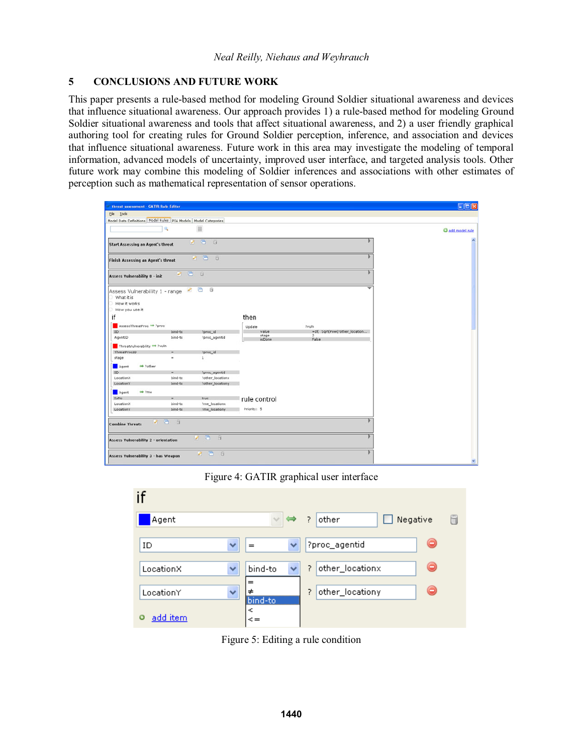# **5 CONCLUSIONS AND FUTURE WORK**

This paper presents a rule-based method for modeling Ground Soldier situational awareness and devices that influence situational awareness. Our approach provides 1) a rule-based method for modeling Ground Soldier situational awareness and tools that affect situational awareness, and 2) a user friendly graphical authoring tool for creating rules for Ground Soldier perception, inference, and association and devices that influence situational awareness. Future work in this area may investigate the modeling of temporal information, advanced models of uncertainty, improved user interface, and targeted analysis tools. Other future work may combine this modeling of Soldier inferences and associations with other estimates of perception such as mathematical representation of sensor operations.

| threat-assessment - GATIR Rule Editor                                                |                          |                  |                          |                               | $E_{B}$          |
|--------------------------------------------------------------------------------------|--------------------------|------------------|--------------------------|-------------------------------|------------------|
| Ele Tools                                                                            |                          |                  |                          |                               |                  |
| Model Data Definitions   Model Rules   PIA Models   Model Categories                 |                          |                  |                          |                               |                  |
|                                                                                      | a                        | $\equiv$         |                          |                               | O add model rule |
|                                                                                      |                          |                  |                          |                               |                  |
| <b>Start Assessing an Agent's threat</b>                                             |                          | <b>A</b> 5<br>6  |                          |                               |                  |
| Finish Assessing an Agent's threat                                                   |                          | 2 8 8            |                          |                               |                  |
| Assess Vulnerability O - init                                                        | G.<br>Ø.                 | $\Box$           |                          |                               |                  |
| Assess Vulnerability 1 - range<br>What it is<br>How it works<br>How you use it<br>if |                          | 200              | then                     |                               |                  |
| AssessThreatProc <> ?proc                                                            |                          |                  | Update                   | ?vuln                         |                  |
| ID                                                                                   | bind-to                  | ?proc_id         |                          | =If( Sgrt(Pow(?other_location |                  |
| AgentID                                                                              | bind-to                  | ?proc_agentid    | value<br>stage<br>isDone | $rac{2}{\text{False}}$        |                  |
| ThreatVulnerability ** ?vuln                                                         |                          |                  |                          |                               |                  |
| ThreatProcID                                                                         |                          | ?proc_id         |                          |                               |                  |
| stage                                                                                | ۰                        | $\mathbbm{1}$    |                          |                               |                  |
| es ?other<br>Agent                                                                   |                          |                  |                          |                               |                  |
| 1D                                                                                   | ٠                        | ?proc_agentid    |                          |                               |                  |
| LocationX                                                                            | bind-to                  | ?other_locationx |                          |                               |                  |
| LocationY                                                                            | bind-to                  | ?other_locationy |                          |                               |                  |
| se ?me<br>Agent                                                                      |                          |                  |                          |                               |                  |
| IsMe                                                                                 | $\overline{\phantom{a}}$ | true             | rule control             |                               |                  |
| LocationX                                                                            | bind-to                  | ?me_locationx    |                          |                               |                  |
| LocationY                                                                            | bind-to                  | ?me_locationy    | Priority: 5              |                               |                  |
| <b>Combine Threats</b>                                                               | 288                      |                  |                          |                               |                  |
| Assess Vulnerability 2 - orientation                                                 |                          | 255              |                          |                               |                  |
| Assess Vulnerability 3 - has Weapon                                                  |                          | 288              |                          |                               |                  |

Figure 4: GATIR graphical user interface

| Agent                |   |                     | ĥ<br>7<br>other<br>Negative |
|----------------------|---|---------------------|-----------------------------|
| ID                   | v | v<br>$=$            | ?proc_agentid               |
| LocationX            | Ÿ | bind-to<br>v        | ۳<br>other_locationx<br>?   |
| LocationY            | v | $=$<br>≠<br>bind-to | other_locationy<br>Ņ        |
| <u>add item</u><br>Θ |   | ×.<br>$\leq$ =      |                             |

Figure 5: Editing a rule condition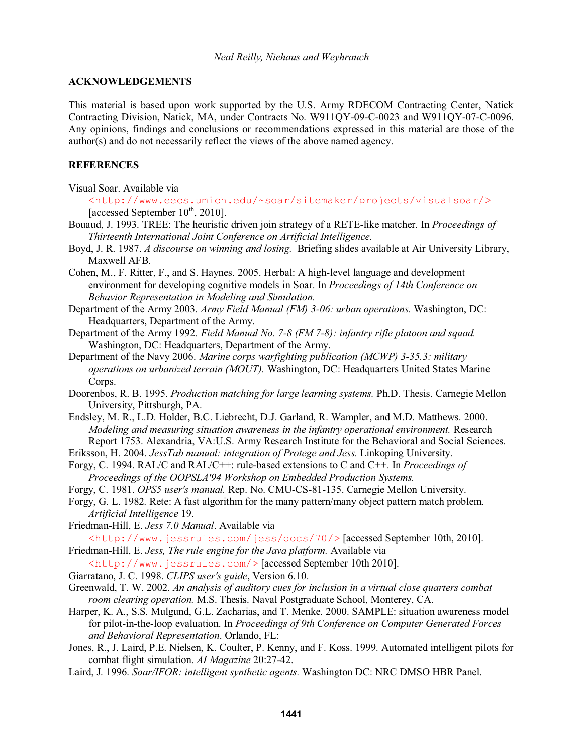## **ACKNOWLEDGEMENTS**

This material is based upon work supported by the U.S. Army RDECOM Contracting Center, Natick Contracting Division, Natick, MA, under Contracts No. W911QY-09-C-0023 and W911QY-07-C-0096. Any opinions, findings and conclusions or recommendations expressed in this material are those of the author(s) and do not necessarily reflect the views of the above named agency.

## **REFERENCES**

Visual Soar. Available via

<http://www.eecs.umich.edu/~soar/sitemaker/projects/visualsoar/> [accessed September  $10^{th}$ , 2010].

- Bouaud, J. 1993. TREE: The heuristic driven join strategy of a RETE-like matcher*.* In *Proceedings of Thirteenth International Joint Conference on Artificial Intelligence.*
- Boyd, J. R. 1987. *A discourse on winning and losing.* Briefing slides available at Air University Library, Maxwell AFB.
- Cohen, M., F. Ritter, F., and S. Haynes. 2005. Herbal: A high-level language and development environment for developing cognitive models in Soar. In *Proceedings of 14th Conference on Behavior Representation in Modeling and Simulation.*
- Department of the Army 2003. *Army Field Manual (FM) 3-06: urban operations.* Washington, DC: Headquarters, Department of the Army.
- Department of the Army 1992*. Field Manual No. 7-8 (FM 7-8): infantry rifle platoon and squad.*  Washington, DC: Headquarters, Department of the Army.
- Department of the Navy 2006. *Marine corps warfighting publication (MCWP) 3-35.3: military operations on urbanized terrain (MOUT).* Washington, DC: Headquarters United States Marine Corps.
- Doorenbos, R. B. 1995. *Production matching for large learning systems.* Ph.D. Thesis. Carnegie Mellon University, Pittsburgh, PA.
- Endsley, M. R., L.D. Holder, B.C. Liebrecht, D.J. Garland, R. Wampler, and M.D. Matthews. 2000. *Modeling and measuring situation awareness in the infantry operational environment.* Research Report 1753. Alexandria, VA:U.S. Army Research Institute for the Behavioral and Social Sciences.

Eriksson, H. 2004. *JessTab manual: integration of Protege and Jess.* Linkoping University.

Forgy, C. 1994. RAL/C and RAL/C++: rule-based extensions to C and C++*.* In *Proceedings of Proceedings of the OOPSLA'94 Workshop on Embedded Production Systems.*

Forgy, C. 1981. *OPS5 user's manual.* Rep. No. CMU-CS-81-135. Carnegie Mellon University.

Forgy, G. L. 1982*.* Rete: A fast algorithm for the many pattern/many object pattern match problem. *Artificial Intelligence* 19.

Friedman-Hill, E. *Jess 7.0 Manual*. Available via

<http://www.jessrules.com/jess/docs/70/> [accessed September 10th, 2010]. Friedman-Hill, E. *Jess, The rule engine for the Java platform.* Available via

<http://www.jessrules.com/> [accessed September 10th 2010].

Giarratano, J. C. 1998. *CLIPS user's guide*, Version 6.10.

- Greenwald, T. W. 2002. *An analysis of auditory cues for inclusion in a virtual close quarters combat room clearing operation.* M.S. Thesis. Naval Postgraduate School, Monterey, CA.
- Harper, K. A., S.S. Mulgund, G.L. Zacharias, and T. Menke. 2000. SAMPLE: situation awareness model for pilot-in-the-loop evaluation. In *Proceedings of 9th Conference on Computer Generated Forces and Behavioral Representation*. Orlando, FL:
- Jones, R., J. Laird, P.E. Nielsen, K. Coulter, P. Kenny, and F. Koss. 1999*.* Automated intelligent pilots for combat flight simulation. *AI Magazine* 20:27-42.
- Laird, J. 1996. *Soar/IFOR: intelligent synthetic agents.* Washington DC: NRC DMSO HBR Panel.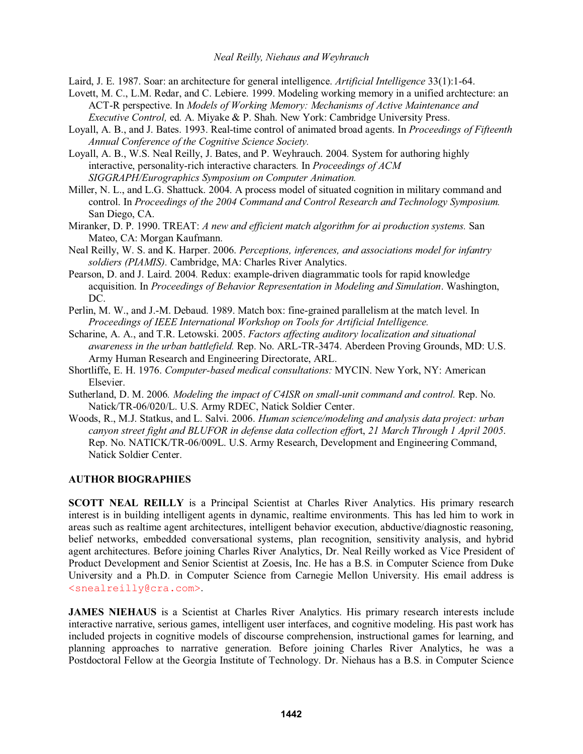Laird, J. E. 1987. Soar: an architecture for general intelligence. *Artificial Intelligence* 33(1):1-64.

Lovett, M. C., L.M. Redar, and C. Lebiere. 1999. Modeling working memory in a unified archtecture: an ACT-R perspective. In *Models of Working Memory: Mechanisms of Active Maintenance and Executive Control,* ed. A. Miyake & P. Shah. New York: Cambridge University Press.

Loyall, A. B., and J. Bates. 1993. Real-time control of animated broad agents. In *Proceedings of Fifteenth Annual Conference of the Cognitive Science Society.*

Loyall, A. B., W.S. Neal Reilly, J. Bates, and P. Weyhrauch. 2004*.* System for authoring highly interactive, personality-rich interactive characters*.* In *Proceedings of ACM SIGGRAPH/Eurographics Symposium on Computer Animation.*

Miller, N. L., and L.G. Shattuck. 2004. A process model of situated cognition in military command and control. In *Proceedings of the 2004 Command and Control Research and Technology Symposium.*  San Diego, CA.

Miranker, D. P. 1990. TREAT: *A new and efficient match algorithm for ai production systems.* San Mateo, CA: Morgan Kaufmann.

Neal Reilly, W. S. and K. Harper. 2006. *Perceptions, inferences, and associations model for infantry soldiers (PIAMIS).* Cambridge, MA: Charles River Analytics.

Pearson, D. and J. Laird. 2004*.* Redux: example-driven diagrammatic tools for rapid knowledge acquisition. In *Proceedings of Behavior Representation in Modeling and Simulation*. Washington, D<sub>C</sub>.

Perlin, M. W., and J.-M. Debaud. 1989. Match box: fine-grained parallelism at the match level. In *Proceedings of IEEE International Workshop on Tools for Artificial Intelligence.* 

Scharine, A. A., and T.R. Letowski. 2005. *Factors affecting auditory localization and situational awareness in the urban battlefield.* Rep. No. ARL-TR-3474. Aberdeen Proving Grounds, MD: U.S. Army Human Research and Engineering Directorate, ARL.

Shortliffe, E. H. 1976. *Computer-based medical consultations:* MYCIN. New York, NY: American Elsevier.

Sutherland, D. M. 2006*. Modeling the impact of C4ISR on small-unit command and control.* Rep. No. Natick/TR-06/020/L. U.S. Army RDEC, Natick Soldier Center.

Woods, R., M.J. Statkus, and L. Salvi. 2006. *Human science/modeling and analysis data project: urban canyon street fight and BLUFOR in defense data collection effor*t, *21 March Through 1 April 2005*. Rep. No. NATICK/TR-06/009L. U.S. Army Research, Development and Engineering Command, Natick Soldier Center.

## **AUTHOR BIOGRAPHIES**

**SCOTT NEAL REILLY** is a Principal Scientist at Charles River Analytics. His primary research interest is in building intelligent agents in dynamic, realtime environments. This has led him to work in areas such as realtime agent architectures, intelligent behavior execution, abductive/diagnostic reasoning, belief networks, embedded conversational systems, plan recognition, sensitivity analysis, and hybrid agent architectures. Before joining Charles River Analytics, Dr. Neal Reilly worked as Vice President of Product Development and Senior Scientist at Zoesis, Inc. He has a B.S. in Computer Science from Duke University and a Ph.D. in Computer Science from Carnegie Mellon University. His email address is <snealreilly@cra.com>.

**JAMES NIEHAUS** is a Scientist at Charles River Analytics. His primary research interests include interactive narrative, serious games, intelligent user interfaces, and cognitive modeling. His past work has included projects in cognitive models of discourse comprehension, instructional games for learning, and planning approaches to narrative generation. Before joining Charles River Analytics, he was a Postdoctoral Fellow at the Georgia Institute of Technology. Dr. Niehaus has a B.S. in Computer Science